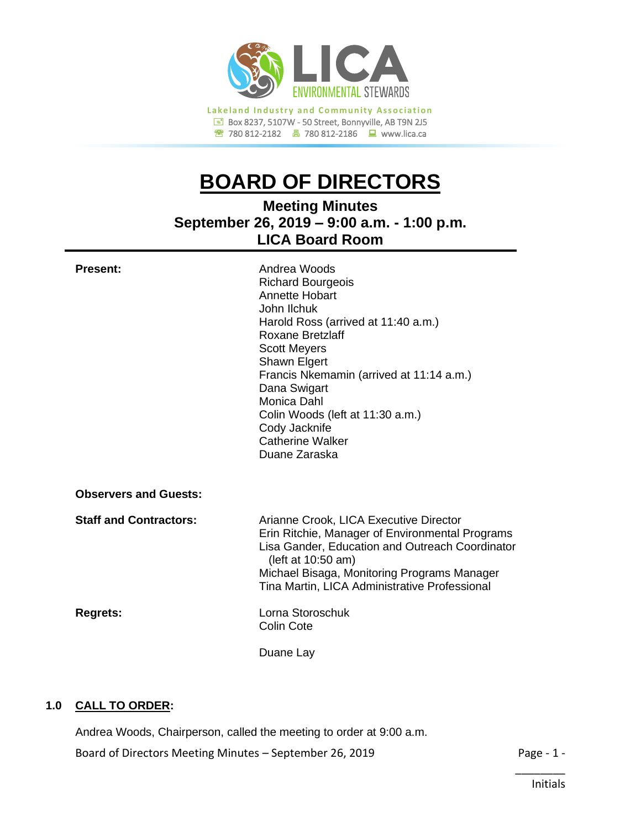

780 812-2182780 812-2186www.lica.ca

# **BOARD OF DIRECTORS**

**Meeting Minutes September 26, 2019 – 9:00 a.m. - 1:00 p.m. LICA Board Room**

| <b>Present:</b>               | Andrea Woods<br><b>Richard Bourgeois</b><br>Annette Hobart<br>John Ilchuk<br>Harold Ross (arrived at 11:40 a.m.)<br>Roxane Bretzlaff<br><b>Scott Meyers</b><br>Shawn Elgert<br>Francis Nkemamin (arrived at 11:14 a.m.)<br>Dana Swigart<br>Monica Dahl<br>Colin Woods (left at 11:30 a.m.)<br>Cody Jacknife<br><b>Catherine Walker</b><br>Duane Zaraska |
|-------------------------------|---------------------------------------------------------------------------------------------------------------------------------------------------------------------------------------------------------------------------------------------------------------------------------------------------------------------------------------------------------|
| <b>Observers and Guests:</b>  |                                                                                                                                                                                                                                                                                                                                                         |
| <b>Staff and Contractors:</b> | Arianne Crook, LICA Executive Director<br>Erin Ritchie, Manager of Environmental Programs<br>Lisa Gander, Education and Outreach Coordinator<br>(left at 10:50 am)<br>Michael Bisaga, Monitoring Programs Manager<br>Tina Martin, LICA Administrative Professional                                                                                      |
| <b>Regrets:</b>               | Lorna Storoschuk<br><b>Colin Cote</b>                                                                                                                                                                                                                                                                                                                   |
|                               | Duane Lay                                                                                                                                                                                                                                                                                                                                               |

# **1.0 CALL TO ORDER:**

Board of Directors Meeting Minutes – September 26, 2019 Page - 1 -Andrea Woods, Chairperson, called the meeting to order at 9:00 a.m.

\_\_\_\_\_\_\_\_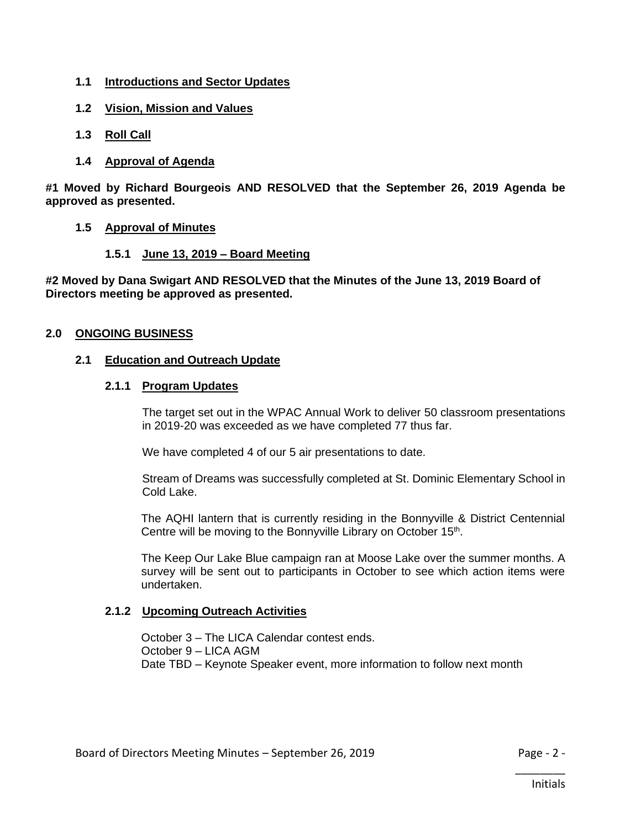- **1.1 Introductions and Sector Updates**
- **1.2 Vision, Mission and Values**
- **1.3 Roll Call**
- **1.4 Approval of Agenda**

**#1 Moved by Richard Bourgeois AND RESOLVED that the September 26, 2019 Agenda be approved as presented.**

- **1.5 Approval of Minutes**
	- **1.5.1 June 13, 2019 – Board Meeting**

**#2 Moved by Dana Swigart AND RESOLVED that the Minutes of the June 13, 2019 Board of Directors meeting be approved as presented.**

# **2.0 ONGOING BUSINESS**

## **2.1 Education and Outreach Update**

## **2.1.1 Program Updates**

The target set out in the WPAC Annual Work to deliver 50 classroom presentations in 2019-20 was exceeded as we have completed 77 thus far.

We have completed 4 of our 5 air presentations to date.

Stream of Dreams was successfully completed at St. Dominic Elementary School in Cold Lake.

The AQHI lantern that is currently residing in the Bonnyville & District Centennial Centre will be moving to the Bonnyville Library on October 15<sup>th</sup>.

The Keep Our Lake Blue campaign ran at Moose Lake over the summer months. A survey will be sent out to participants in October to see which action items were undertaken.

# **2.1.2 Upcoming Outreach Activities**

October 3 – The LICA Calendar contest ends. October 9 – LICA AGM Date TBD – Keynote Speaker event, more information to follow next month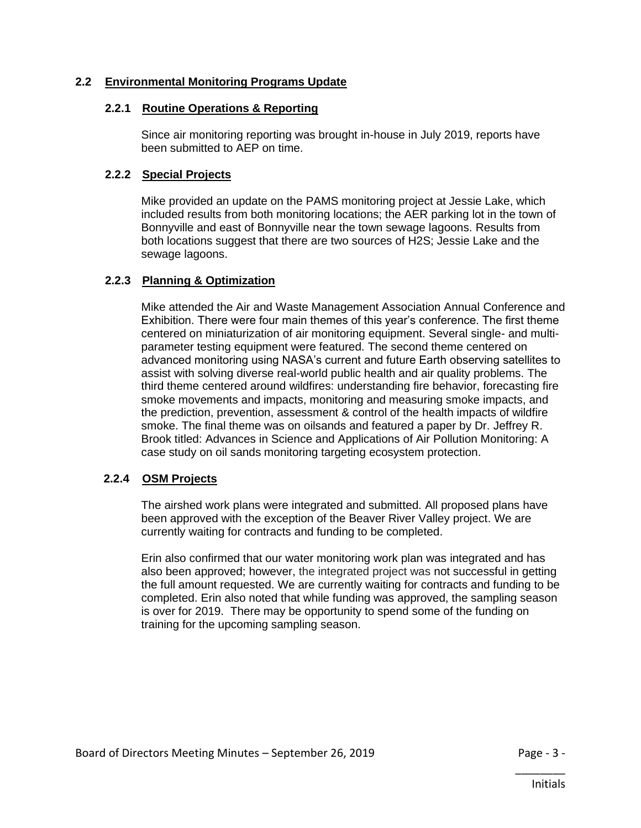# **2.2 Environmental Monitoring Programs Update**

# **2.2.1 Routine Operations & Reporting**

Since air monitoring reporting was brought in-house in July 2019, reports have been submitted to AEP on time.

# **2.2.2 Special Projects**

Mike provided an update on the PAMS monitoring project at Jessie Lake, which included results from both monitoring locations; the AER parking lot in the town of Bonnyville and east of Bonnyville near the town sewage lagoons. Results from both locations suggest that there are two sources of H2S; Jessie Lake and the sewage lagoons.

# **2.2.3 Planning & Optimization**

Mike attended the Air and Waste Management Association Annual Conference and Exhibition. There were four main themes of this year's conference. The first theme centered on miniaturization of air monitoring equipment. Several single- and multiparameter testing equipment were featured. The second theme centered on advanced monitoring using NASA's current and future Earth observing satellites to assist with solving diverse real-world public health and air quality problems. The third theme centered around wildfires: understanding fire behavior, forecasting fire smoke movements and impacts, monitoring and measuring smoke impacts, and the prediction, prevention, assessment & control of the health impacts of wildfire smoke. The final theme was on oilsands and featured a paper by Dr. Jeffrey R. Brook titled: Advances in Science and Applications of Air Pollution Monitoring: A case study on oil sands monitoring targeting ecosystem protection.

# **2.2.4 OSM Projects**

The airshed work plans were integrated and submitted. All proposed plans have been approved with the exception of the Beaver River Valley project. We are currently waiting for contracts and funding to be completed.

Erin also confirmed that our water monitoring work plan was integrated and has also been approved; however, the integrated project was not successful in getting the full amount requested. We are currently waiting for contracts and funding to be completed. Erin also noted that while funding was approved, the sampling season is over for 2019. There may be opportunity to spend some of the funding on training for the upcoming sampling season.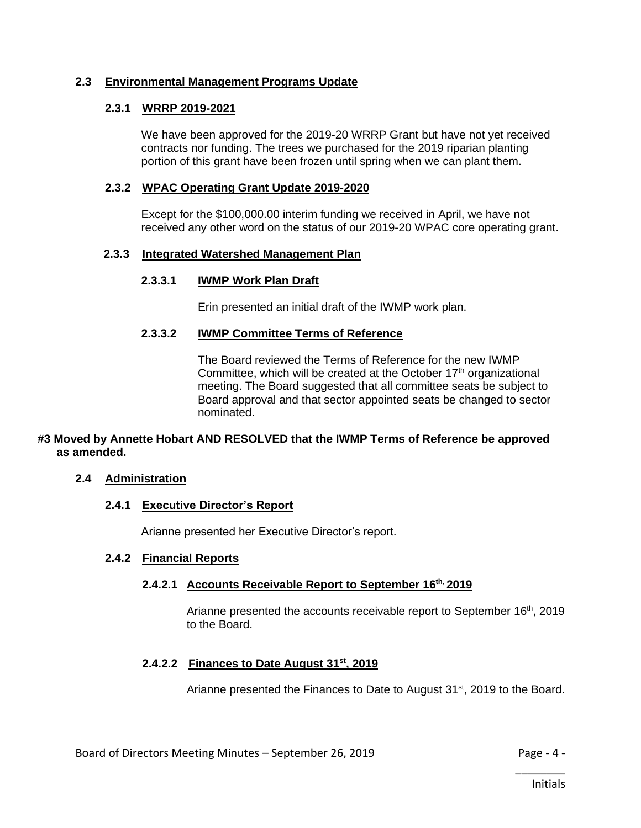# **2.3 Environmental Management Programs Update**

# **2.3.1 WRRP 2019-2021**

We have been approved for the 2019-20 WRRP Grant but have not yet received contracts nor funding. The trees we purchased for the 2019 riparian planting portion of this grant have been frozen until spring when we can plant them.

# **2.3.2 WPAC Operating Grant Update 2019-2020**

Except for the \$100,000.00 interim funding we received in April, we have not received any other word on the status of our 2019-20 WPAC core operating grant.

# **2.3.3 Integrated Watershed Management Plan**

# **2.3.3.1 IWMP Work Plan Draft**

Erin presented an initial draft of the IWMP work plan.

# **2.3.3.2 IWMP Committee Terms of Reference**

The Board reviewed the Terms of Reference for the new IWMP Committee, which will be created at the October  $17<sup>th</sup>$  organizational meeting. The Board suggested that all committee seats be subject to Board approval and that sector appointed seats be changed to sector nominated.

# **#3 Moved by Annette Hobart AND RESOLVED that the IWMP Terms of Reference be approved as amended.**

# **2.4 Administration**

# **2.4.1 Executive Director's Report**

Arianne presented her Executive Director's report.

### **2.4.2 Financial Reports**

# **2.4.2.1 Accounts Receivable Report to September 16th, 2019**

Arianne presented the accounts receivable report to September 16<sup>th</sup>, 2019 to the Board.

# **2.4.2.2 Finances to Date August 31st, 2019**

Arianne presented the Finances to Date to August 31<sup>st</sup>, 2019 to the Board.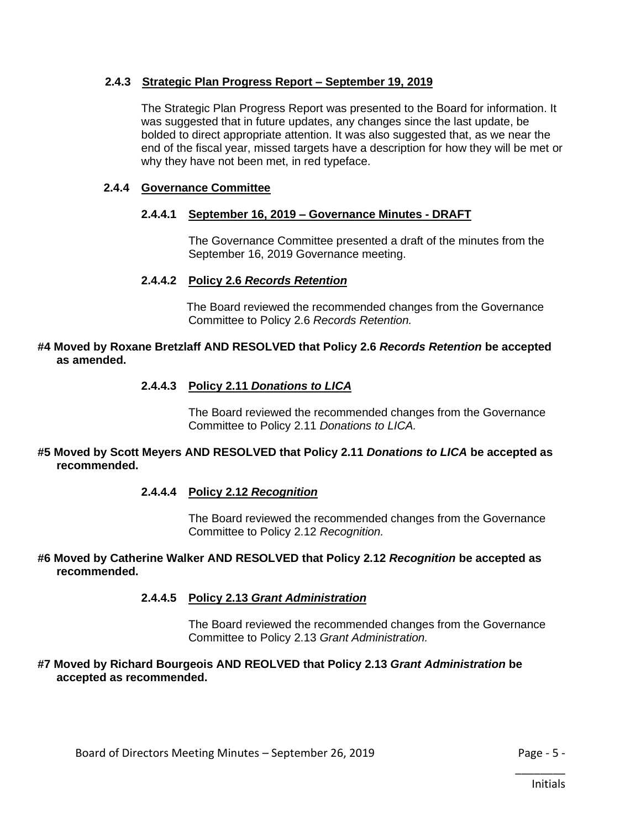# **2.4.3 Strategic Plan Progress Report – September 19, 2019**

The Strategic Plan Progress Report was presented to the Board for information. It was suggested that in future updates, any changes since the last update, be bolded to direct appropriate attention. It was also suggested that, as we near the end of the fiscal year, missed targets have a description for how they will be met or why they have not been met, in red typeface.

## **2.4.4 Governance Committee**

# **2.4.4.1 September 16, 2019 – Governance Minutes - DRAFT**

The Governance Committee presented a draft of the minutes from the September 16, 2019 Governance meeting.

## **2.4.4.2 Policy 2.6** *Records Retention*

The Board reviewed the recommended changes from the Governance Committee to Policy 2.6 *Records Retention.*

### **#4 Moved by Roxane Bretzlaff AND RESOLVED that Policy 2.6** *Records Retention* **be accepted as amended.**

# **2.4.4.3 Policy 2.11** *Donations to LICA*

The Board reviewed the recommended changes from the Governance Committee to Policy 2.11 *Donations to LICA.*

## **#5 Moved by Scott Meyers AND RESOLVED that Policy 2.11** *Donations to LICA* **be accepted as recommended.**

#### **2.4.4.4 Policy 2.12** *Recognition*

The Board reviewed the recommended changes from the Governance Committee to Policy 2.12 *Recognition.*

## **#6 Moved by Catherine Walker AND RESOLVED that Policy 2.12** *Recognition* **be accepted as recommended.**

#### **2.4.4.5 Policy 2.13** *Grant Administration*

The Board reviewed the recommended changes from the Governance Committee to Policy 2.13 *Grant Administration.*

#### **#7 Moved by Richard Bourgeois AND REOLVED that Policy 2.13** *Grant Administration* **be accepted as recommended.**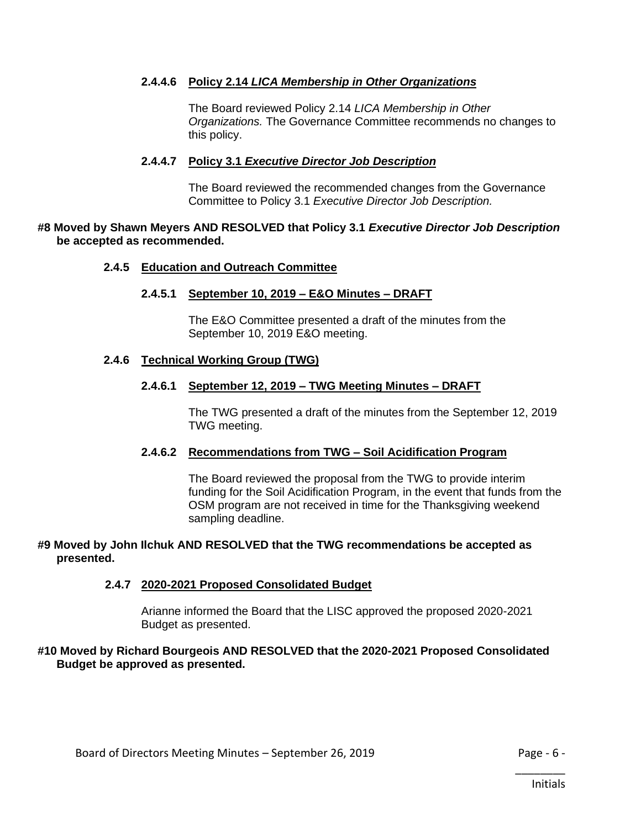# **2.4.4.6 Policy 2.14** *LICA Membership in Other Organizations*

The Board reviewed Policy 2.14 *LICA Membership in Other Organizations.* The Governance Committee recommends no changes to this policy.

## **2.4.4.7 Policy 3.1** *Executive Director Job Description*

The Board reviewed the recommended changes from the Governance Committee to Policy 3.1 *Executive Director Job Description.*

### **#8 Moved by Shawn Meyers AND RESOLVED that Policy 3.1** *Executive Director Job Description* **be accepted as recommended.**

#### **2.4.5 Education and Outreach Committee**

#### **2.4.5.1 September 10, 2019 – E&O Minutes – DRAFT**

The E&O Committee presented a draft of the minutes from the September 10, 2019 E&O meeting.

## **2.4.6 Technical Working Group (TWG)**

#### **2.4.6.1 September 12, 2019 – TWG Meeting Minutes – DRAFT**

The TWG presented a draft of the minutes from the September 12, 2019 TWG meeting.

# **2.4.6.2 Recommendations from TWG – Soil Acidification Program**

The Board reviewed the proposal from the TWG to provide interim funding for the Soil Acidification Program, in the event that funds from the OSM program are not received in time for the Thanksgiving weekend sampling deadline.

#### **#9 Moved by John Ilchuk AND RESOLVED that the TWG recommendations be accepted as presented.**

#### **2.4.7 2020-2021 Proposed Consolidated Budget**

Arianne informed the Board that the LISC approved the proposed 2020-2021 Budget as presented.

#### **#10 Moved by Richard Bourgeois AND RESOLVED that the 2020-2021 Proposed Consolidated Budget be approved as presented.**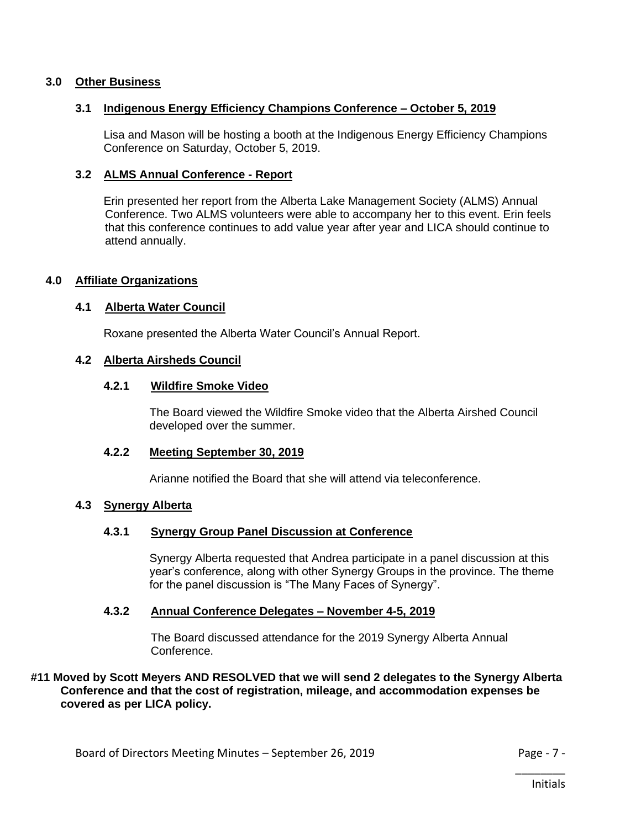## **3.0 Other Business**

## **3.1 Indigenous Energy Efficiency Champions Conference – October 5, 2019**

Lisa and Mason will be hosting a booth at the Indigenous Energy Efficiency Champions Conference on Saturday, October 5, 2019.

### **3.2 ALMS Annual Conference - Report**

Erin presented her report from the Alberta Lake Management Society (ALMS) Annual Conference. Two ALMS volunteers were able to accompany her to this event. Erin feels that this conference continues to add value year after year and LICA should continue to attend annually.

## **4.0 Affiliate Organizations**

## **4.1 Alberta Water Council**

Roxane presented the Alberta Water Council's Annual Report.

#### **4.2 Alberta Airsheds Council**

### **4.2.1 Wildfire Smoke Video**

The Board viewed the Wildfire Smoke video that the Alberta Airshed Council developed over the summer.

#### **4.2.2 Meeting September 30, 2019**

Arianne notified the Board that she will attend via teleconference.

#### **4.3 Synergy Alberta**

# **4.3.1 Synergy Group Panel Discussion at Conference**

Synergy Alberta requested that Andrea participate in a panel discussion at this year's conference, along with other Synergy Groups in the province. The theme for the panel discussion is "The Many Faces of Synergy".

#### **4.3.2 Annual Conference Delegates – November 4-5, 2019**

The Board discussed attendance for the 2019 Synergy Alberta Annual Conference.

## **#11 Moved by Scott Meyers AND RESOLVED that we will send 2 delegates to the Synergy Alberta Conference and that the cost of registration, mileage, and accommodation expenses be covered as per LICA policy.**